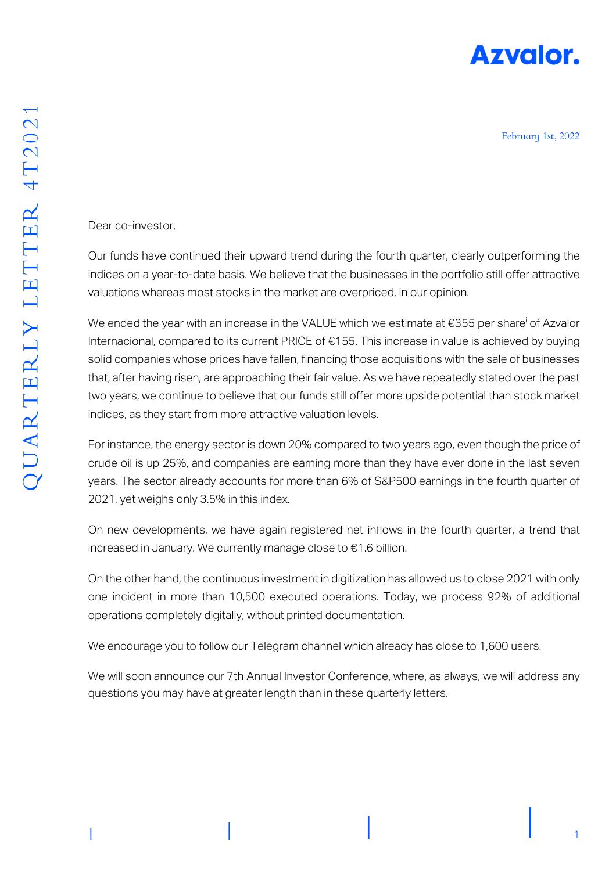

February 1st, 2022

Dear co-investor,

Our funds have continued their upward trend during the fourth quarter, clearly outperforming the indices on a year-to-date basis. We believe that the businesses in the portfolio still offer attractive valuations whereas most stocks in the market are overpriced, in our opinion.

We ended the year with an increase in the VALUE which we estimate at  $\epsilon$ 355 per share<sup>i</sup> of Azvalor Internacional, compared to its current PRICE of €155. This increase in value is achieved by buying solid companies whose prices have fallen, financing those acquisitions with the sale of businesses that, after having risen, are approaching their fair value. As we have repeatedly stated over the past two years, we continue to believe that our funds still offer more upside potential than stock market indices, as they start from more attractive valuation levels.

For instance, the energy sector is down 20% compared to two years ago, even though the price of crude oil is up 25%, and companies are earning more than they have ever done in the last seven years. The sector already accounts for more than 6% of S&P500 earnings in the fourth quarter of 2021, yet weighs only 3.5% in this index.

On new developments, we have again registered net inflows in the fourth quarter, a trend that increased in January. We currently manage close to €1.6 billion.

On the other hand, the continuous investment in digitization has allowed us to close 2021 with only one incident in more than 10,500 executed operations. Today, we process 92% of additional operations completely digitally, without printed documentation.

We encourage you to follow our Telegram channel which already has close to 1,600 users.

We will soon announce our 7th Annual Investor Conference, where, as always, we will address any questions you may have at greater length than in these quarterly letters.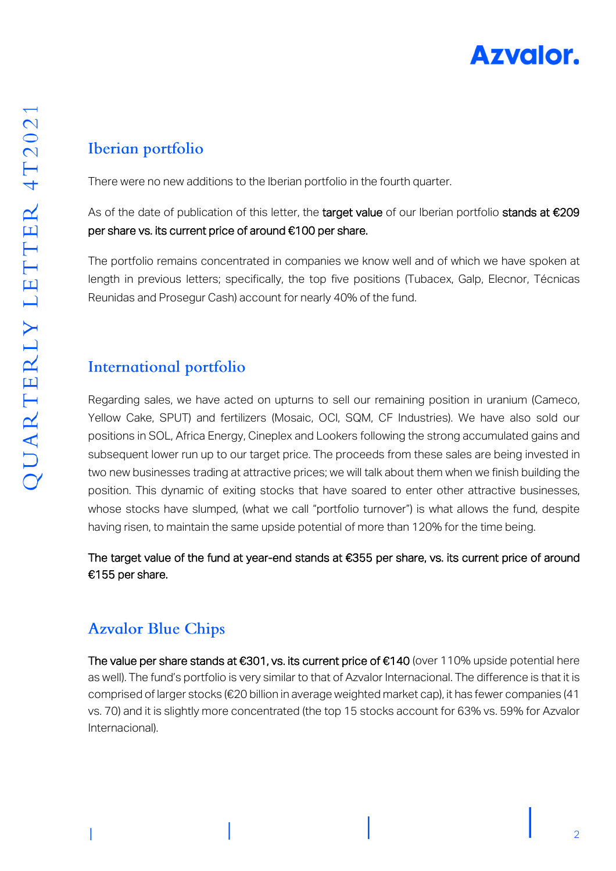

## Iberian portfolio

There were no new additions to the Iberian portfolio in the fourth quarter.

As of the date of publication of this letter, the target value of our Iberian portfolio stands at €209 per share vs. its current price of around €100 per share.

The portfolio remains concentrated in companies we know well and of which we have spoken at length in previous letters; specifically, the top five positions (Tubacex, Galp, Elecnor, Técnicas Reunidas and Prosegur Cash) account for nearly 40% of the fund.

## **International portfolio**

Regarding sales, we have acted on upturns to sell our remaining position in uranium (Cameco, Yellow Cake, SPUT) and fertilizers (Mosaic, OCI, SQM, CF Industries). We have also sold our positions in SOL, Africa Energy, Cineplex and Lookers following the strong accumulated gains and subsequent lower run up to our target price. The proceeds from these sales are being invested in two new businesses trading at attractive prices; we will talk about them when we finish building the position. This dynamic of exiting stocks that have soared to enter other attractive businesses, whose stocks have slumped, (what we call "portfolio turnover") is what allows the fund, despite having risen, to maintain the same upside potential of more than 120% for the time being.

The target value of the fund at year-end stands at €355 per share, vs. its current price of around €155 per share.

## **Azvalor Blue Chips**

The value per share stands at €301, vs. its current price of €140 (over 110% upside potential here as well). The fund's portfolio is very similar to that of Azvalor Internacional. The difference is that it is comprised of larger stocks (€20 billion in average weighted market cap), it has fewer companies (41 vs. 70) and it is slightly more concentrated (the top 15 stocks account for 63% vs. 59% for Azvalor Internacional).